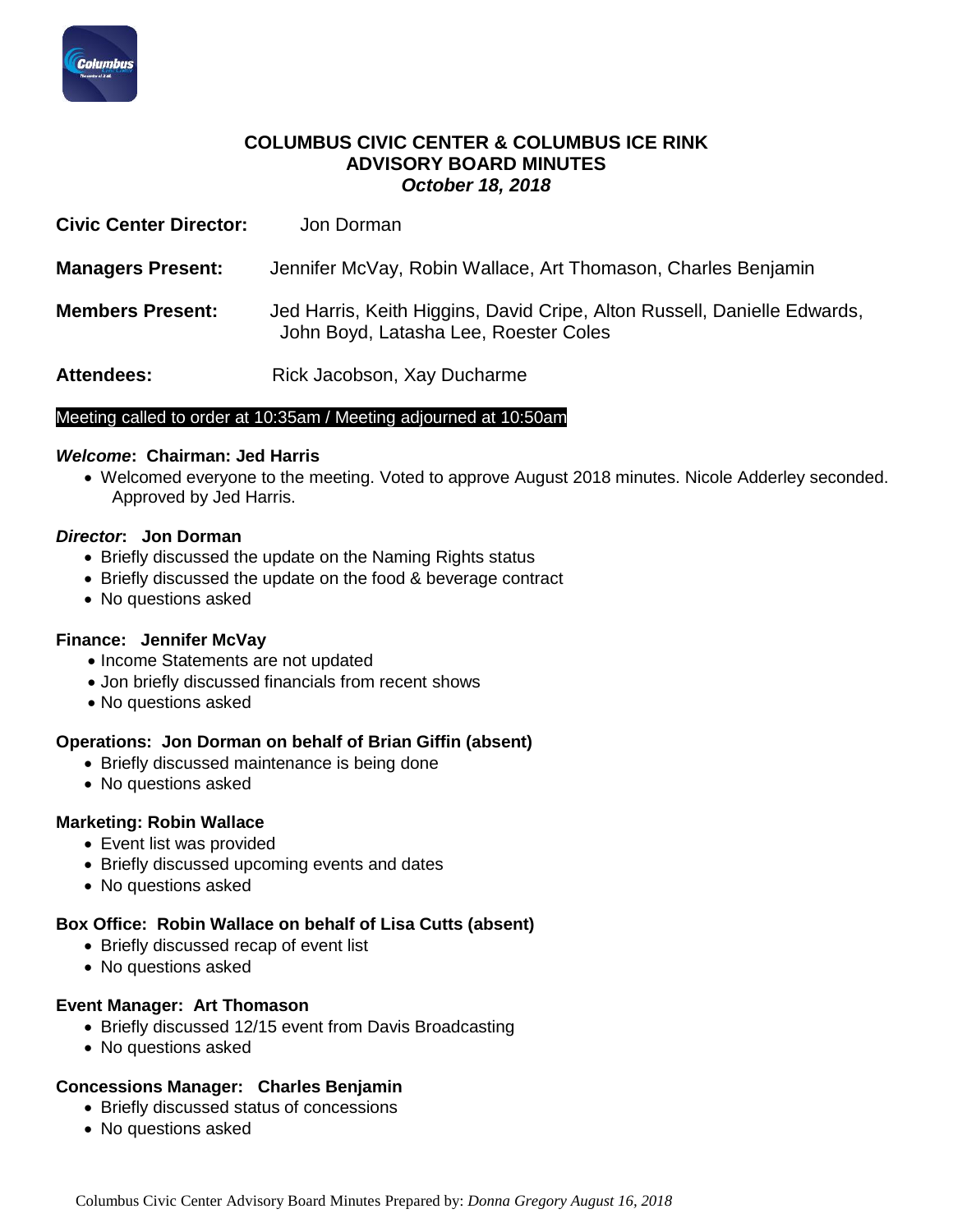

## **COLUMBUS CIVIC CENTER & COLUMBUS ICE RINK ADVISORY BOARD MINUTES** *October 18, 2018*

| <b>Civic Center Director:</b> | Jon Dorman                                                                                                        |
|-------------------------------|-------------------------------------------------------------------------------------------------------------------|
| <b>Managers Present:</b>      | Jennifer McVay, Robin Wallace, Art Thomason, Charles Benjamin                                                     |
| <b>Members Present:</b>       | Jed Harris, Keith Higgins, David Cripe, Alton Russell, Danielle Edwards,<br>John Boyd, Latasha Lee, Roester Coles |
| <b>Attendees:</b>             | Rick Jacobson, Xay Ducharme                                                                                       |

#### Meeting called to order at 10:35am / Meeting adjourned at 10:50am

#### *Welcome***: Chairman: Jed Harris**

 Welcomed everyone to the meeting. Voted to approve August 2018 minutes. Nicole Adderley seconded. Approved by Jed Harris.

#### *Director***: Jon Dorman**

- Briefly discussed the update on the Naming Rights status
- Briefly discussed the update on the food & beverage contract
- No questions asked

## **Finance: Jennifer McVay**

- Income Statements are not updated
- Jon briefly discussed financials from recent shows
- No questions asked

#### **Operations: Jon Dorman on behalf of Brian Giffin (absent)**

- Briefly discussed maintenance is being done
- No questions asked

## **Marketing: Robin Wallace**

- Event list was provided
- Briefly discussed upcoming events and dates
- No questions asked

## **Box Office: Robin Wallace on behalf of Lisa Cutts (absent)**

- Briefly discussed recap of event list
- No questions asked

## **Event Manager: Art Thomason**

- Briefly discussed 12/15 event from Davis Broadcasting
- No questions asked

## **Concessions Manager: Charles Benjamin**

- Briefly discussed status of concessions
- No questions asked